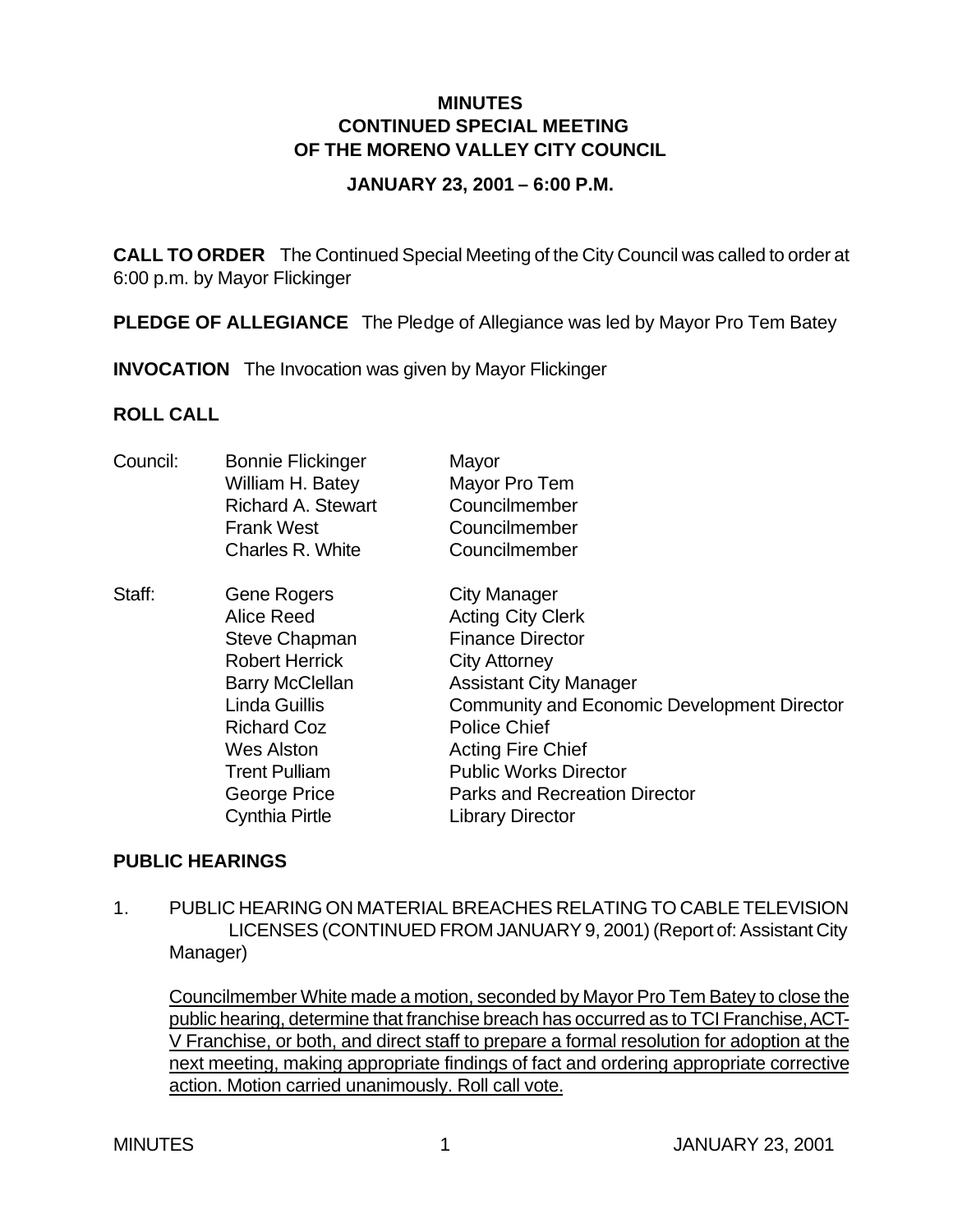### **MINUTES CONTINUED SPECIAL MEETING OF THE MORENO VALLEY CITY COUNCIL**

#### **JANUARY 23, 2001 – 6:00 P.M.**

**CALL TO ORDER** The Continued Special Meeting of the City Council was called to order at 6:00 p.m. by Mayor Flickinger

**PLEDGE OF ALLEGIANCE** The Pledge of Allegiance was led by Mayor Pro Tem Batey

**INVOCATION** The Invocation was given by Mayor Flickinger

### **ROLL CALL**

| Council: | <b>Bonnie Flickinger</b><br>William H. Batey<br><b>Richard A. Stewart</b><br><b>Frank West</b><br>Charles R. White                                                                                                                              | Mayor<br>Mayor Pro Tem<br>Councilmember<br>Councilmember<br>Councilmember                                                                                                                                                                                                                                                                       |
|----------|-------------------------------------------------------------------------------------------------------------------------------------------------------------------------------------------------------------------------------------------------|-------------------------------------------------------------------------------------------------------------------------------------------------------------------------------------------------------------------------------------------------------------------------------------------------------------------------------------------------|
| Staff:   | Gene Rogers<br><b>Alice Reed</b><br><b>Steve Chapman</b><br><b>Robert Herrick</b><br><b>Barry McClellan</b><br><b>Linda Guillis</b><br><b>Richard Coz</b><br><b>Wes Alston</b><br><b>Trent Pulliam</b><br>George Price<br><b>Cynthia Pirtle</b> | <b>City Manager</b><br><b>Acting City Clerk</b><br><b>Finance Director</b><br><b>City Attorney</b><br><b>Assistant City Manager</b><br><b>Community and Economic Development Director</b><br><b>Police Chief</b><br><b>Acting Fire Chief</b><br><b>Public Works Director</b><br><b>Parks and Recreation Director</b><br><b>Library Director</b> |

#### **PUBLIC HEARINGS**

1. PUBLIC HEARING ON MATERIAL BREACHES RELATING TO CABLE TELEVISION LICENSES (CONTINUED FROM JANUARY 9, 2001) (Report of: Assistant City Manager)

Councilmember White made a motion, seconded by Mayor Pro Tem Batey to close the public hearing, determine that franchise breach has occurred as to TCI Franchise, ACT-V Franchise, or both, and direct staff to prepare a formal resolution for adoption at the next meeting, making appropriate findings of fact and ordering appropriate corrective action. Motion carried unanimously. Roll call vote.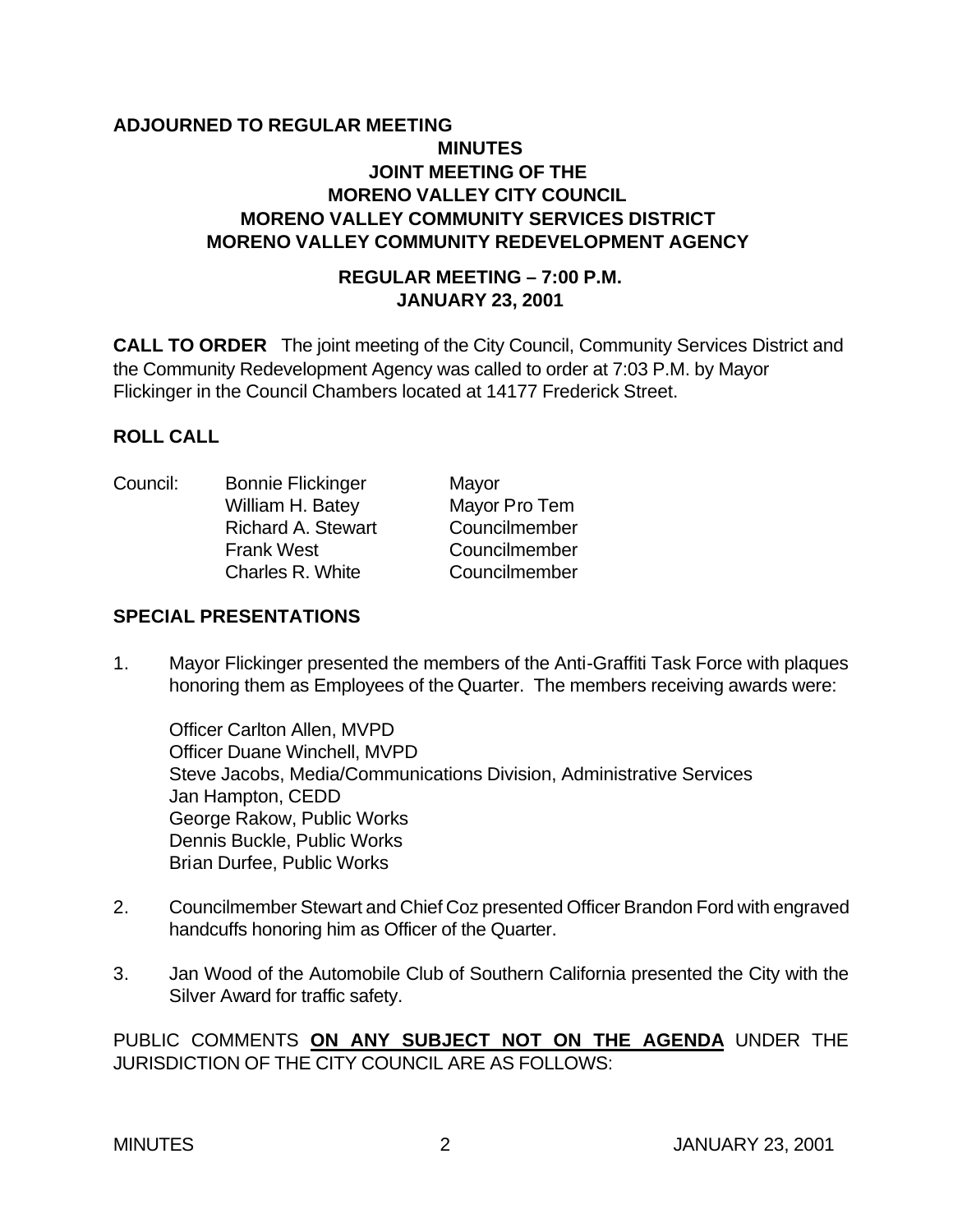# **ADJOURNED TO REGULAR MEETING MINUTES JOINT MEETING OF THE MORENO VALLEY CITY COUNCIL MORENO VALLEY COMMUNITY SERVICES DISTRICT MORENO VALLEY COMMUNITY REDEVELOPMENT AGENCY**

### **REGULAR MEETING – 7:00 P.M. JANUARY 23, 2001**

**CALL TO ORDER** The joint meeting of the City Council, Community Services District and the Community Redevelopment Agency was called to order at 7:03 P.M. by Mayor Flickinger in the Council Chambers located at 14177 Frederick Street.

### **ROLL CALL**

Council: Bonnie Flickinger Mayor William H. Batey Mayor Pro Tem Richard A. Stewart Councilmember Frank West Councilmember Charles R. White Councilmember

#### **SPECIAL PRESENTATIONS**

1. Mayor Flickinger presented the members of the Anti-Graffiti Task Force with plaques honoring them as Employees of the Quarter. The members receiving awards were:

Officer Carlton Allen, MVPD Officer Duane Winchell, MVPD Steve Jacobs, Media/Communications Division, Administrative Services Jan Hampton, CEDD George Rakow, Public Works Dennis Buckle, Public Works Brian Durfee, Public Works

- 2. Councilmember Stewart and Chief Coz presented Officer Brandon Ford with engraved handcuffs honoring him as Officer of the Quarter.
- 3. Jan Wood of the Automobile Club of Southern California presented the City with the Silver Award for traffic safety.

PUBLIC COMMENTS **ON ANY SUBJECT NOT ON THE AGENDA** UNDER THE JURISDICTION OF THE CITY COUNCIL ARE AS FOLLOWS: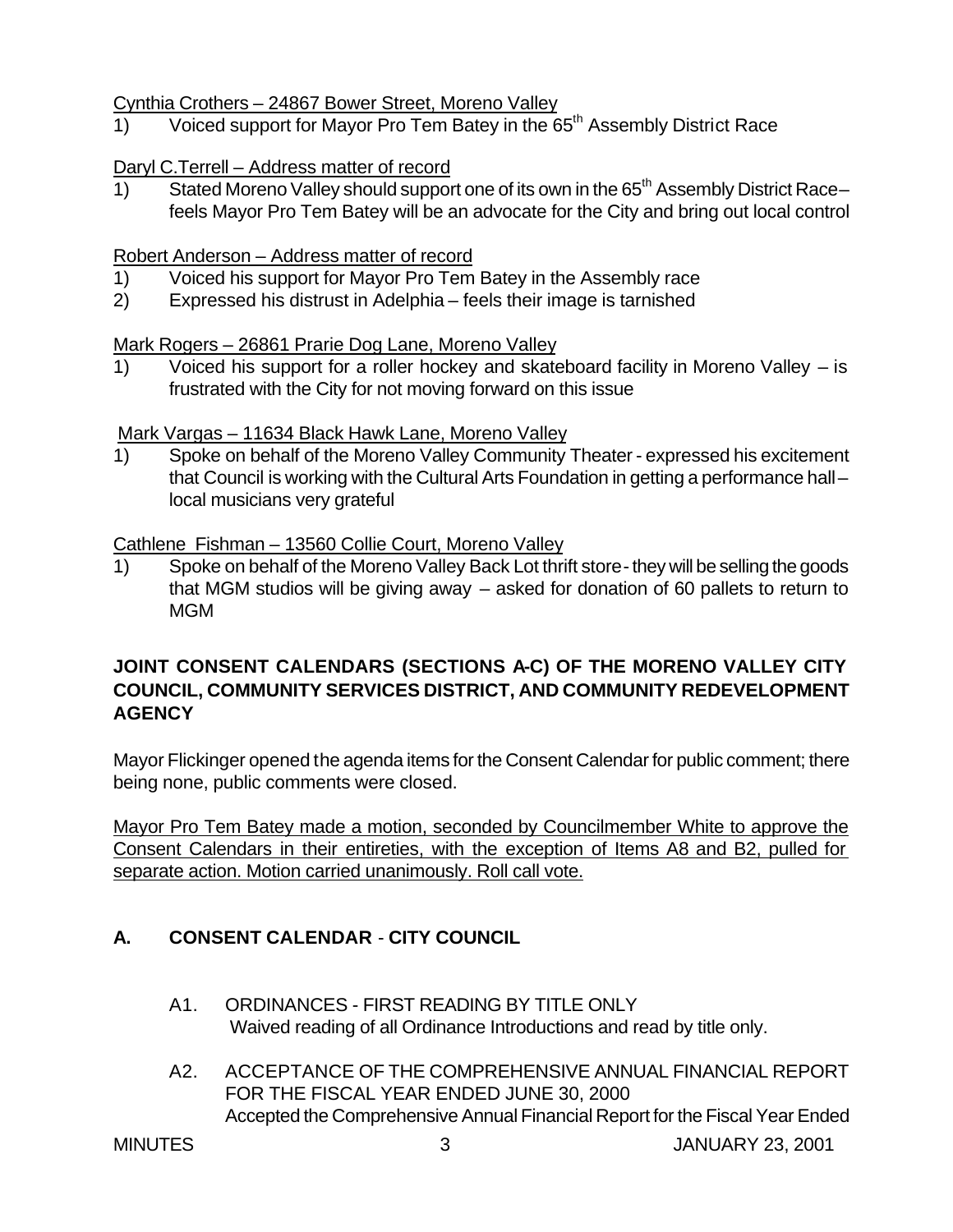### Cynthia Crothers – 24867 Bower Street, Moreno Valley

1) Voiced support for Mayor Pro Tem Batey in the 65<sup>th</sup> Assembly District Race

### Daryl C.Terrell – Address matter of record

1) Stated Moreno Valley should support one of its own in the 65<sup>th</sup> Assembly District Racefeels Mayor Pro Tem Batey will be an advocate for the City and bring out local control

#### Robert Anderson – Address matter of record

- 1) Voiced his support for Mayor Pro Tem Batey in the Assembly race
- 2) Expressed his distrust in Adelphia feels their image is tarnished

#### Mark Rogers – 26861 Prarie Dog Lane, Moreno Valley

1) Voiced his support for a roller hockey and skateboard facility in Moreno Valley – is frustrated with the City for not moving forward on this issue

### Mark Vargas – 11634 Black Hawk Lane, Moreno Valley

1) Spoke on behalf of the Moreno Valley Community Theater - expressed his excitement that Council is working with the Cultural Arts Foundation in getting a performance hall – local musicians very grateful

### Cathlene Fishman – 13560 Collie Court, Moreno Valley

1) Spoke on behalf of the Moreno Valley Back Lot thrift store - they will be selling the goods that MGM studios will be giving away – asked for donation of 60 pallets to return to MGM

# **JOINT CONSENT CALENDARS (SECTIONS A-C) OF THE MORENO VALLEY CITY COUNCIL, COMMUNITY SERVICES DISTRICT, AND COMMUNITY REDEVELOPMENT AGENCY**

Mayor Flickinger opened the agenda items for the Consent Calendar for public comment; there being none, public comments were closed.

Mayor Pro Tem Batey made a motion, seconded by Councilmember White to approve the Consent Calendars in their entireties, with the exception of Items A8 and B2, pulled for separate action. Motion carried unanimously. Roll call vote.

# **A. CONSENT CALENDAR** - **CITY COUNCIL**

- A1. ORDINANCES FIRST READING BY TITLE ONLY Waived reading of all Ordinance Introductions and read by title only.
- A2. ACCEPTANCE OF THE COMPREHENSIVE ANNUAL FINANCIAL REPORT FOR THE FISCAL YEAR ENDED JUNE 30, 2000 Accepted the Comprehensive Annual Financial Report for the Fiscal Year Ended

MINUTES 3 JANUARY 23, 2001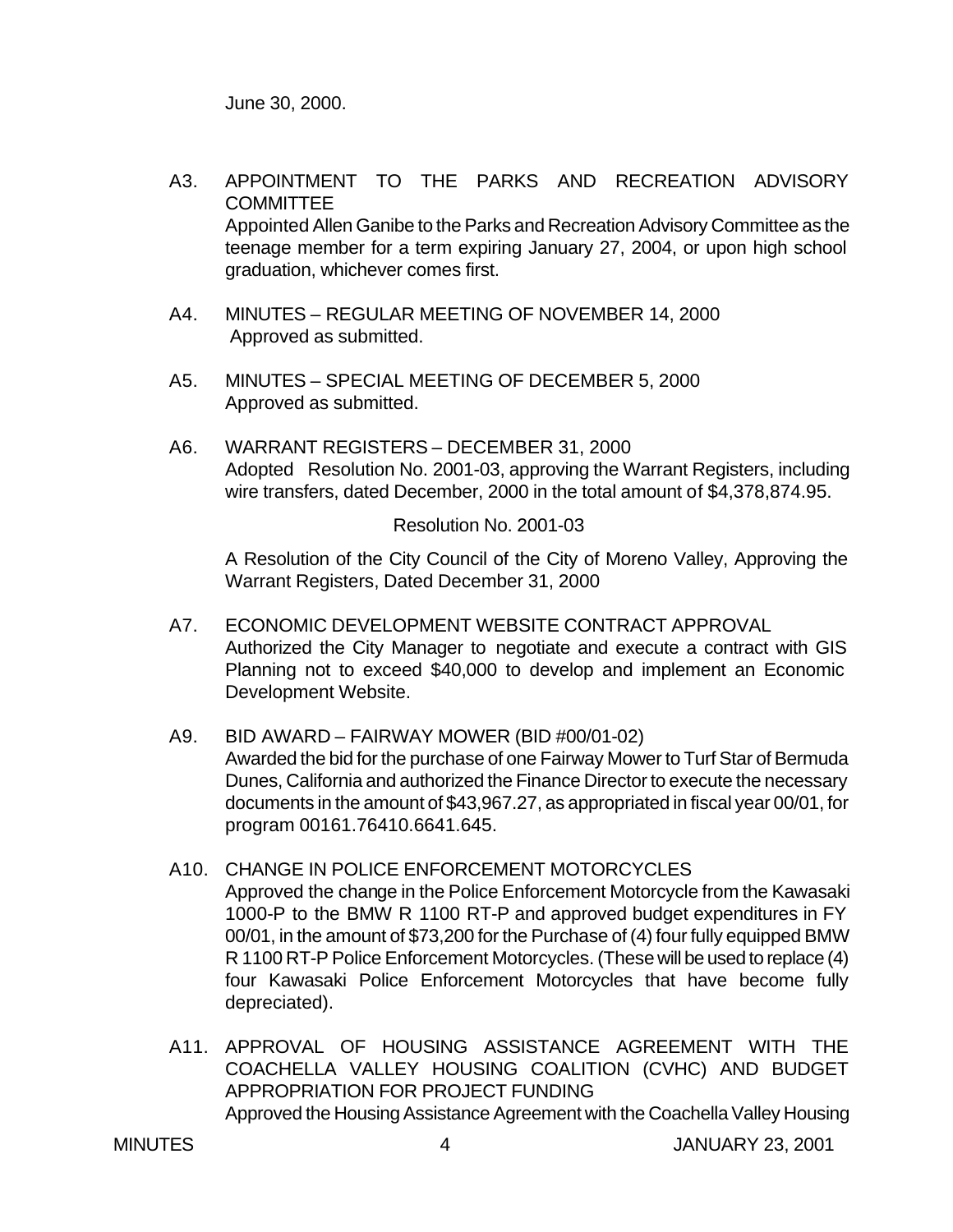June 30, 2000.

- A3. APPOINTMENT TO THE PARKS AND RECREATION ADVISORY **COMMITTEE** Appointed Allen Ganibe to the Parks and Recreation Advisory Committee as the teenage member for a term expiring January 27, 2004, or upon high school graduation, whichever comes first.
- A4. MINUTES REGULAR MEETING OF NOVEMBER 14, 2000 Approved as submitted.
- A5. MINUTES SPECIAL MEETING OF DECEMBER 5, 2000 Approved as submitted.
- A6. WARRANT REGISTERS DECEMBER 31, 2000 Adopted Resolution No. 2001-03, approving the Warrant Registers, including wire transfers, dated December, 2000 in the total amount of \$4,378,874.95.

Resolution No. 2001-03

A Resolution of the City Council of the City of Moreno Valley, Approving the Warrant Registers, Dated December 31, 2000

- A7. ECONOMIC DEVELOPMENT WEBSITE CONTRACT APPROVAL Authorized the City Manager to negotiate and execute a contract with GIS Planning not to exceed \$40,000 to develop and implement an Economic Development Website.
- A9. BID AWARD FAIRWAY MOWER (BID #00/01-02) Awarded the bid for the purchase of one Fairway Mower to Turf Star of Bermuda Dunes, California and authorized the Finance Director to execute the necessary documents in the amount of \$43,967.27, as appropriated in fiscal year 00/01, for program 00161.76410.6641.645.
- A10. CHANGE IN POLICE ENFORCEMENT MOTORCYCLES Approved the change in the Police Enforcement Motorcycle from the Kawasaki 1000-P to the BMW R 1100 RT-P and approved budget expenditures in FY 00/01, in the amount of \$73,200 for the Purchase of (4) four fully equipped BMW R 1100 RT-P Police Enforcement Motorcycles. (These will be used to replace (4) four Kawasaki Police Enforcement Motorcycles that have become fully depreciated).
- A11. APPROVAL OF HOUSING ASSISTANCE AGREEMENT WITH THE COACHELLA VALLEY HOUSING COALITION (CVHC) AND BUDGET APPROPRIATION FOR PROJECT FUNDING Approved the Housing Assistance Agreement with the Coachella Valley Housing

MINUTES 4 JANUARY 23, 2001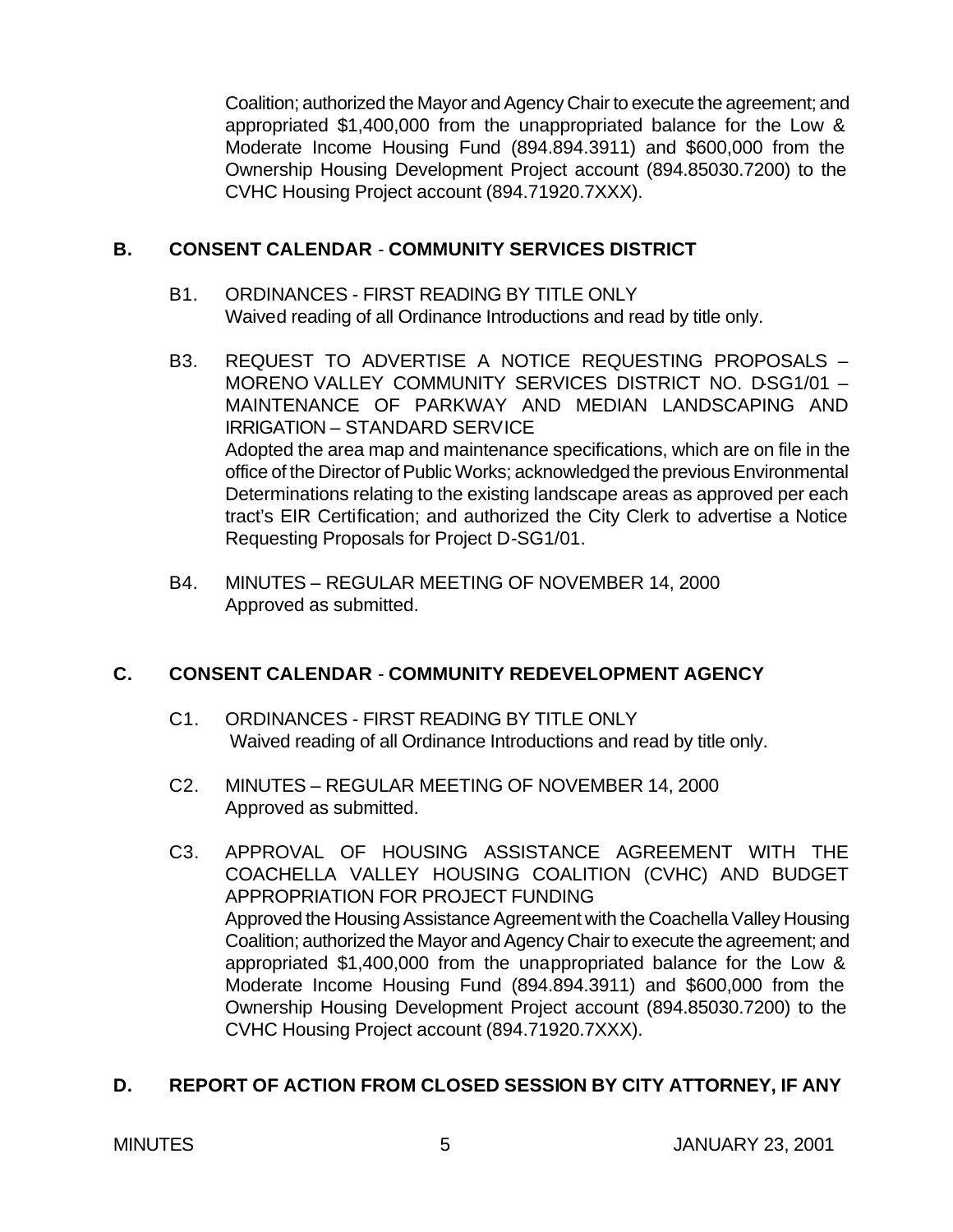Coalition; authorized the Mayor and Agency Chair to execute the agreement; and appropriated \$1,400,000 from the unappropriated balance for the Low & Moderate Income Housing Fund (894.894.3911) and \$600,000 from the Ownership Housing Development Project account (894.85030.7200) to the CVHC Housing Project account (894.71920.7XXX).

### **B. CONSENT CALENDAR** - **COMMUNITY SERVICES DISTRICT**

- B1. ORDINANCES FIRST READING BY TITLE ONLY Waived reading of all Ordinance Introductions and read by title only.
- B3. REQUEST TO ADVERTISE A NOTICE REQUESTING PROPOSALS MORENO VALLEY COMMUNITY SERVICES DISTRICT NO. D-SG1/01 -MAINTENANCE OF PARKWAY AND MEDIAN LANDSCAPING AND IRRIGATION – STANDARD SERVICE Adopted the area map and maintenance specifications, which are on file in the office of the Director of Public Works; acknowledged the previous Environmental Determinations relating to the existing landscape areas as approved per each tract's EIR Certification; and authorized the City Clerk to advertise a Notice Requesting Proposals for Project D-SG1/01.
- B4. MINUTES REGULAR MEETING OF NOVEMBER 14, 2000 Approved as submitted.

# **C. CONSENT CALENDAR** - **COMMUNITY REDEVELOPMENT AGENCY**

- C1. ORDINANCES FIRST READING BY TITLE ONLY Waived reading of all Ordinance Introductions and read by title only.
- C2. MINUTES REGULAR MEETING OF NOVEMBER 14, 2000 Approved as submitted.
- C3. APPROVAL OF HOUSING ASSISTANCE AGREEMENT WITH THE COACHELLA VALLEY HOUSING COALITION (CVHC) AND BUDGET APPROPRIATION FOR PROJECT FUNDING Approved the Housing Assistance Agreement with the Coachella Valley Housing Coalition; authorized the Mayor and Agency Chair to execute the agreement; and appropriated \$1,400,000 from the unappropriated balance for the Low & Moderate Income Housing Fund (894.894.3911) and \$600,000 from the Ownership Housing Development Project account (894.85030.7200) to the CVHC Housing Project account (894.71920.7XXX).

# **D. REPORT OF ACTION FROM CLOSED SESSION BY CITY ATTORNEY, IF ANY**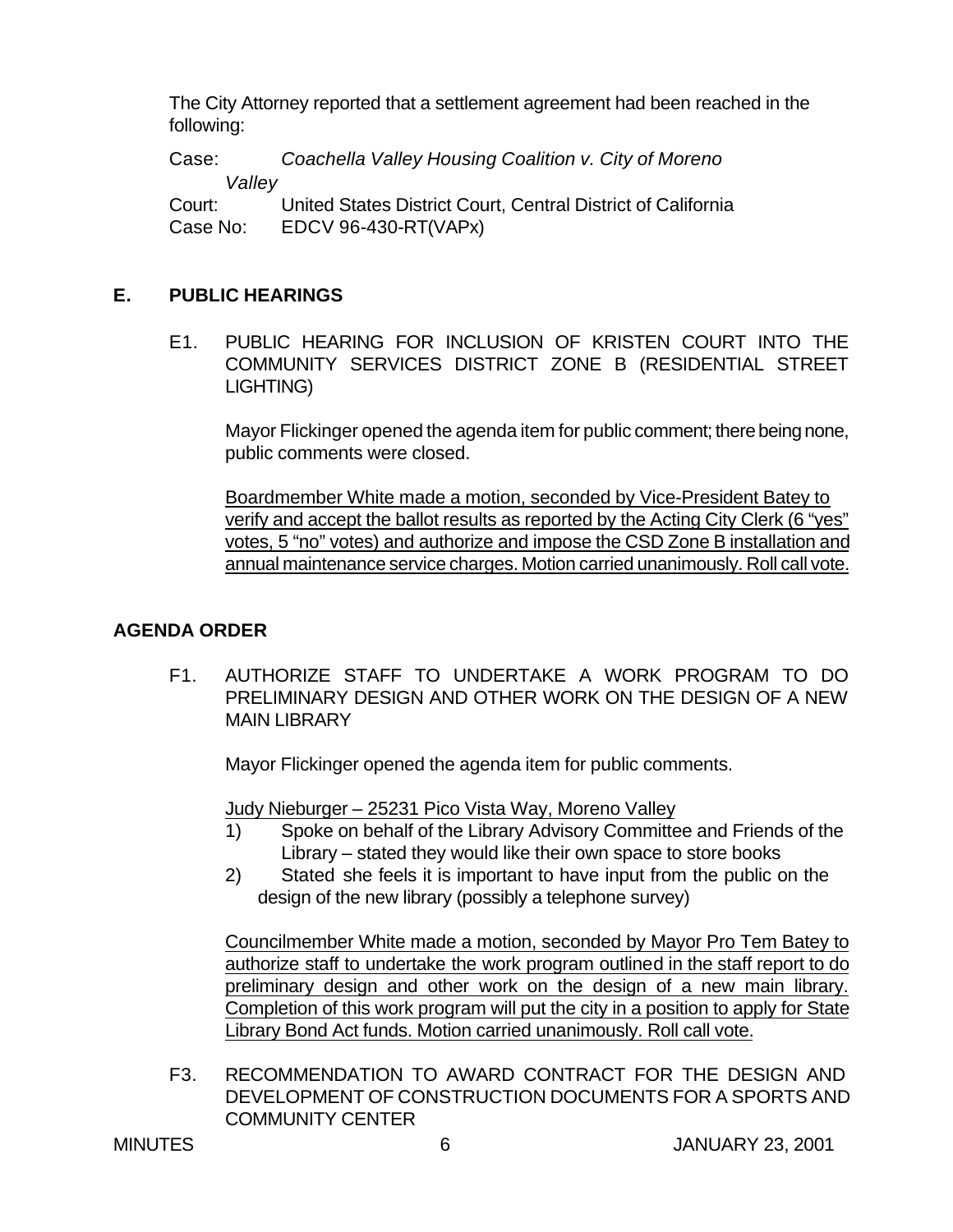The City Attorney reported that a settlement agreement had been reached in the following:

Case: *Coachella Valley Housing Coalition v. City of Moreno Valley* Court: United States District Court, Central District of California Case No: EDCV 96-430-RT(VAPx)

# **E. PUBLIC HEARINGS**

E1. PUBLIC HEARING FOR INCLUSION OF KRISTEN COURT INTO THE COMMUNITY SERVICES DISTRICT ZONE B (RESIDENTIAL STREET LIGHTING)

Mayor Flickinger opened the agenda item for public comment; there being none, public comments were closed.

Boardmember White made a motion, seconded by Vice-President Batey to verify and accept the ballot results as reported by the Acting City Clerk (6 "yes" votes, 5 "no" votes) and authorize and impose the CSD Zone B installation and annual maintenance service charges. Motion carried unanimously. Roll call vote.

# **AGENDA ORDER**

F1. AUTHORIZE STAFF TO UNDERTAKE A WORK PROGRAM TO DO PRELIMINARY DESIGN AND OTHER WORK ON THE DESIGN OF A NEW MAIN LIBRARY

Mayor Flickinger opened the agenda item for public comments.

Judy Nieburger – 25231 Pico Vista Way, Moreno Valley

- 1) Spoke on behalf of the Library Advisory Committee and Friends of the Library – stated they would like their own space to store books
- 2) Stated she feels it is important to have input from the public on the design of the new library (possibly a telephone survey)

Councilmember White made a motion, seconded by Mayor Pro Tem Batey to authorize staff to undertake the work program outlined in the staff report to do preliminary design and other work on the design of a new main library. Completion of this work program will put the city in a position to apply for State Library Bond Act funds. Motion carried unanimously. Roll call vote.

F3. RECOMMENDATION TO AWARD CONTRACT FOR THE DESIGN AND DEVELOPMENT OF CONSTRUCTION DOCUMENTS FOR A SPORTS AND COMMUNITY CENTER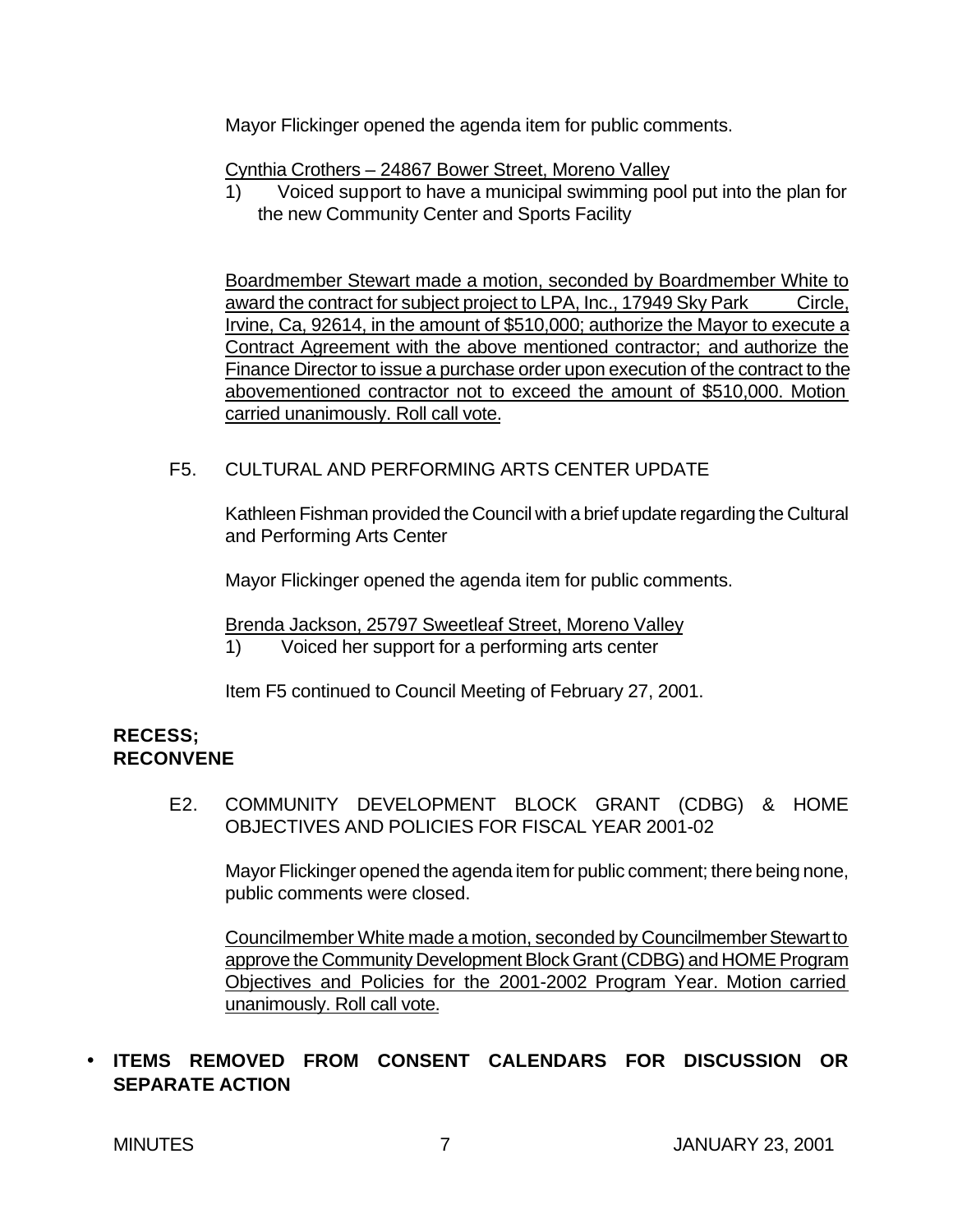Mayor Flickinger opened the agenda item for public comments.

Cynthia Crothers – 24867 Bower Street, Moreno Valley

1) Voiced support to have a municipal swimming pool put into the plan for the new Community Center and Sports Facility

Boardmember Stewart made a motion, seconded by Boardmember White to award the contract for subject project to LPA, Inc., 17949 Sky Park Circle, Irvine, Ca, 92614, in the amount of \$510,000; authorize the Mayor to execute a Contract Agreement with the above mentioned contractor; and authorize the Finance Director to issue a purchase order upon execution of the contract to the abovementioned contractor not to exceed the amount of \$510,000. Motion carried unanimously. Roll call vote.

# F5. CULTURAL AND PERFORMING ARTS CENTER UPDATE

Kathleen Fishman provided the Council with a brief update regarding the Cultural and Performing Arts Center

Mayor Flickinger opened the agenda item for public comments.

Brenda Jackson, 25797 Sweetleaf Street, Moreno Valley

1) Voiced her support for a performing arts center

Item F5 continued to Council Meeting of February 27, 2001.

# **RECESS; RECONVENE**

E2. COMMUNITY DEVELOPMENT BLOCK GRANT (CDBG) & HOME OBJECTIVES AND POLICIES FOR FISCAL YEAR 2001-02

Mayor Flickinger opened the agenda item for public comment; there being none, public comments were closed.

Councilmember White made a motion, seconded by Councilmember Stewart to approve the Community Development Block Grant (CDBG) and HOME Program Objectives and Policies for the 2001-2002 Program Year. Motion carried unanimously. Roll call vote.

# • **ITEMS REMOVED FROM CONSENT CALENDARS FOR DISCUSSION OR SEPARATE ACTION**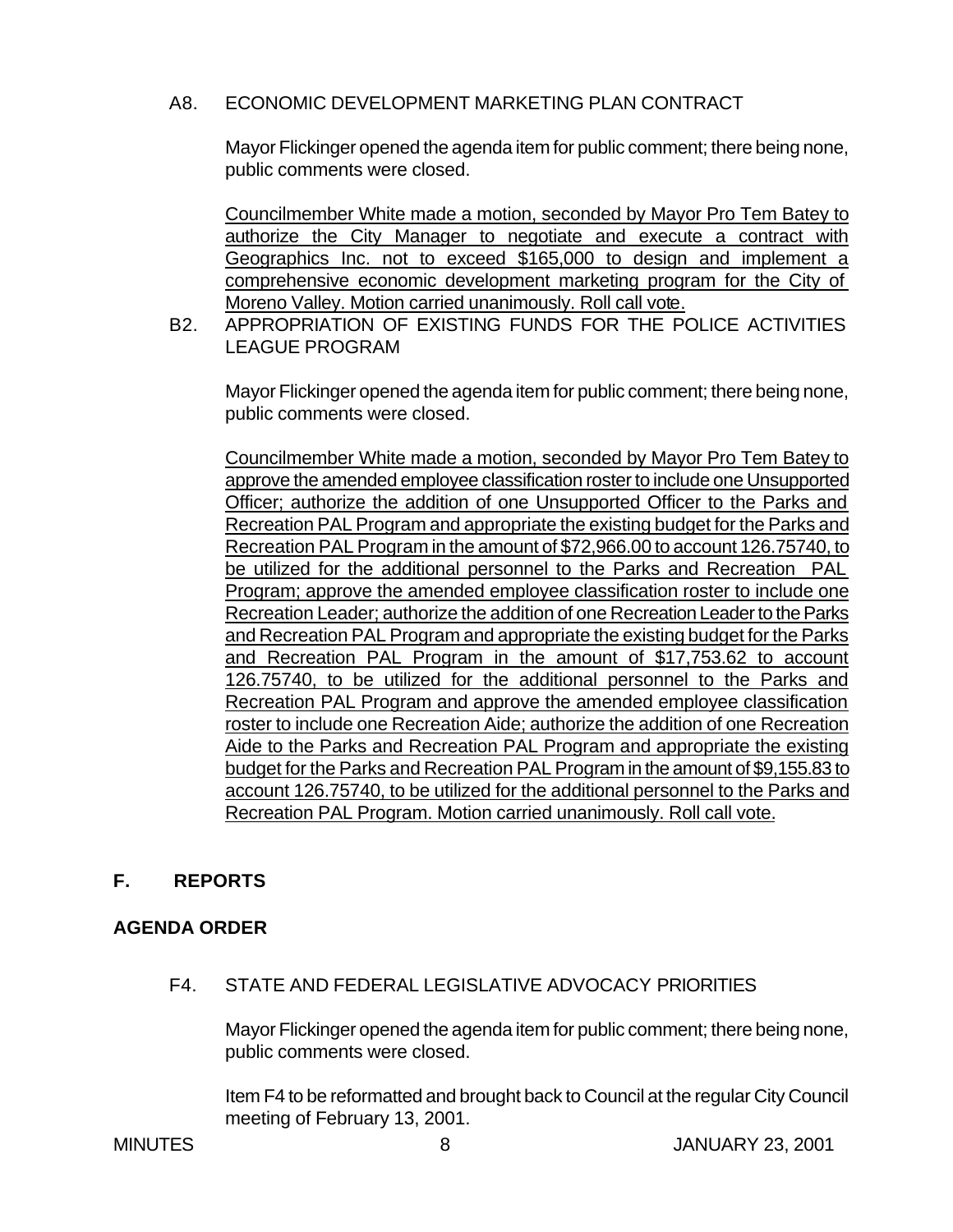### A8. ECONOMIC DEVELOPMENT MARKETING PLAN CONTRACT

Mayor Flickinger opened the agenda item for public comment; there being none, public comments were closed.

Councilmember White made a motion, seconded by Mayor Pro Tem Batey to authorize the City Manager to negotiate and execute a contract with Geographics Inc. not to exceed \$165,000 to design and implement a comprehensive economic development marketing program for the City of Moreno Valley. Motion carried unanimously. Roll call vote.

B2. APPROPRIATION OF EXISTING FUNDS FOR THE POLICE ACTIVITIES LEAGUE PROGRAM

Mayor Flickinger opened the agenda item for public comment; there being none, public comments were closed.

Councilmember White made a motion, seconded by Mayor Pro Tem Batey to approve the amended employee classification roster to include one Unsupported Officer; authorize the addition of one Unsupported Officer to the Parks and Recreation PAL Program and appropriate the existing budget for the Parks and Recreation PAL Program in the amount of \$72,966.00 to account 126.75740, to be utilized for the additional personnel to the Parks and Recreation PAL Program; approve the amended employee classification roster to include one Recreation Leader; authorize the addition of one Recreation Leader to the Parks and Recreation PAL Program and appropriate the existing budget for the Parks and Recreation PAL Program in the amount of \$17,753.62 to account 126.75740, to be utilized for the additional personnel to the Parks and Recreation PAL Program and approve the amended employee classification roster to include one Recreation Aide; authorize the addition of one Recreation Aide to the Parks and Recreation PAL Program and appropriate the existing budget for the Parks and Recreation PAL Program in the amount of \$9,155.83 to account 126.75740, to be utilized for the additional personnel to the Parks and Recreation PAL Program. Motion carried unanimously. Roll call vote.

# **F. REPORTS**

# **AGENDA ORDER**

F4. STATE AND FEDERAL LEGISLATIVE ADVOCACY PRIORITIES

Mayor Flickinger opened the agenda item for public comment; there being none, public comments were closed.

Item F4 to be reformatted and brought back to Council at the regular City Council meeting of February 13, 2001.

MINUTES 8 JANUARY 23, 2001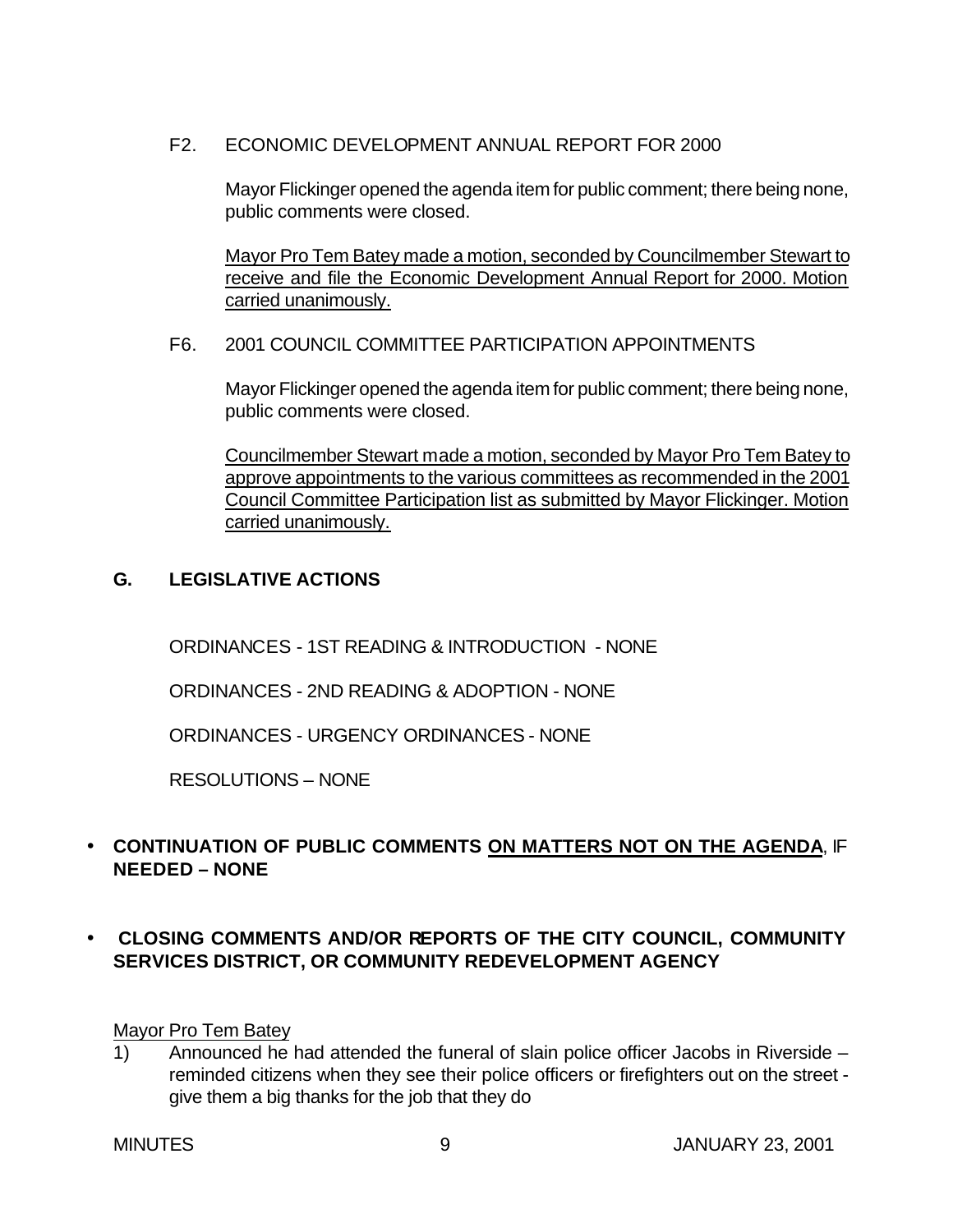F2. ECONOMIC DEVELOPMENT ANNUAL REPORT FOR 2000

Mayor Flickinger opened the agenda item for public comment; there being none, public comments were closed.

Mayor Pro Tem Batey made a motion, seconded by Councilmember Stewart to receive and file the Economic Development Annual Report for 2000. Motion carried unanimously.

### F6. 2001 COUNCIL COMMITTEE PARTICIPATION APPOINTMENTS

Mayor Flickinger opened the agenda item for public comment; there being none, public comments were closed.

Councilmember Stewart made a motion, seconded by Mayor Pro Tem Batey to approve appointments to the various committees as recommended in the 2001 Council Committee Participation list as submitted by Mayor Flickinger. Motion carried unanimously.

# **G. LEGISLATIVE ACTIONS**

ORDINANCES - 1ST READING & INTRODUCTION - NONE

ORDINANCES - 2ND READING & ADOPTION - NONE

ORDINANCES - URGENCY ORDINANCES - NONE

RESOLUTIONS – NONE

# • **CONTINUATION OF PUBLIC COMMENTS ON MATTERS NOT ON THE AGENDA**, IF **NEEDED – NONE**

• **CLOSING COMMENTS AND/OR REPORTS OF THE CITY COUNCIL, COMMUNITY SERVICES DISTRICT, OR COMMUNITY REDEVELOPMENT AGENCY**

Mayor Pro Tem Batey

1) Announced he had attended the funeral of slain police officer Jacobs in Riverside – reminded citizens when they see their police officers or firefighters out on the street give them a big thanks for the job that they do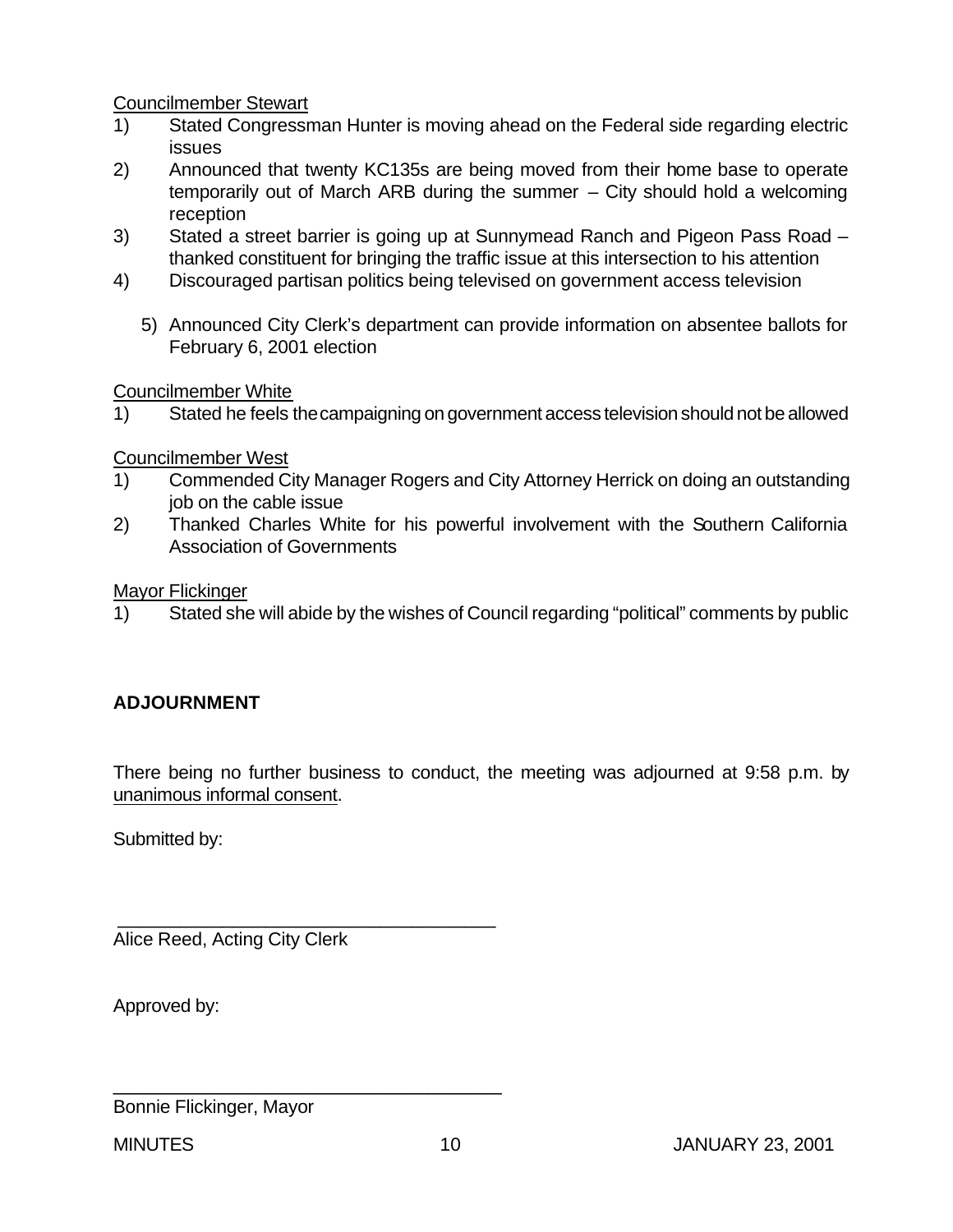Councilmember Stewart

- 1) Stated Congressman Hunter is moving ahead on the Federal side regarding electric issues
- 2) Announced that twenty KC135s are being moved from their home base to operate temporarily out of March ARB during the summer – City should hold a welcoming reception
- 3) Stated a street barrier is going up at Sunnymead Ranch and Pigeon Pass Road thanked constituent for bringing the traffic issue at this intersection to his attention
- 4) Discouraged partisan politics being televised on government access television
	- 5) Announced City Clerk's department can provide information on absentee ballots for February 6, 2001 election

Councilmember White

1) Stated he feels the campaigning on government access television should not be allowed

Councilmember West

- 1) Commended City Manager Rogers and City Attorney Herrick on doing an outstanding job on the cable issue
- 2) Thanked Charles White for his powerful involvement with the Southern California Association of Governments

Mayor Flickinger

1) Stated she will abide by the wishes of Council regarding "political" comments by public

# **ADJOURNMENT**

There being no further business to conduct, the meeting was adjourned at 9:58 p.m. by unanimous informal consent.

Submitted by:

Alice Reed, Acting City Clerk

\_\_\_\_\_\_\_\_\_\_\_\_\_\_\_\_\_\_\_\_\_\_\_\_\_\_\_\_\_\_\_\_\_\_\_\_

\_\_\_\_\_\_\_\_\_\_\_\_\_\_\_\_\_\_\_\_\_\_\_\_\_\_\_\_\_\_\_\_\_\_\_\_\_

Approved by:

Bonnie Flickinger, Mayor